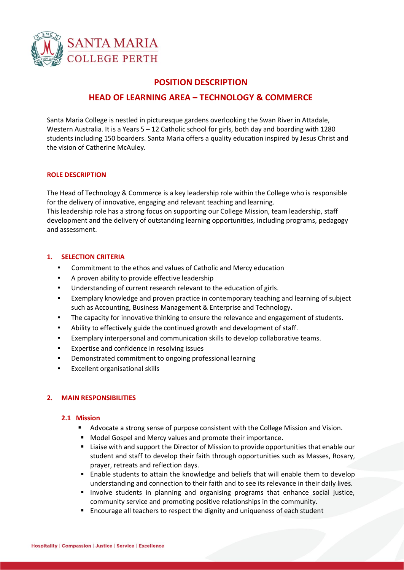

# **POSITION DESCRIPTION**

# **HEAD OF LEARNING AREA – TECHNOLOGY & COMMERCE**

Santa Maria College is nestled in picturesque gardens overlooking the Swan River in Attadale, Western Australia. It is a Years 5 – 12 Catholic school for girls, both day and boarding with 1280 students including 150 boarders. Santa Maria offers a quality education inspired by Jesus Christ and the vision of Catherine McAuley.

# **ROLE DESCRIPTION**

The Head of Technology & Commerce is a key leadership role within the College who is responsible for the delivery of innovative, engaging and relevant teaching and learning. This leadership role has a strong focus on supporting our College Mission, team leadership, staff development and the delivery of outstanding learning opportunities, including programs, pedagogy and assessment.

# **1. SELECTION CRITERIA**

- Commitment to the ethos and values of Catholic and Mercy education
- A proven ability to provide effective leadership
- Understanding of current research relevant to the education of girls.
- Exemplary knowledge and proven practice in contemporary teaching and learning of subject such as Accounting, Business Management & Enterprise and Technology.
- The capacity for innovative thinking to ensure the relevance and engagement of students.
- Ability to effectively guide the continued growth and development of staff.
- Exemplary interpersonal and communication skills to develop collaborative teams.
- Expertise and confidence in resolving issues
- Demonstrated commitment to ongoing professional learning
- Excellent organisational skills

# **2. MAIN RESPONSIBILITIES**

#### **2.1 Mission**

- Advocate a strong sense of purpose consistent with the College Mission and Vision.
- Model Gospel and Mercy values and promote their importance.
- **EXECT** Liaise with and support the Director of Mission to provide opportunities that enable our student and staff to develop their faith through opportunities such as Masses, Rosary, prayer, retreats and reflection days.
- Enable students to attain the knowledge and beliefs that will enable them to develop understanding and connection to their faith and to see its relevance in their daily lives.
- Involve students in planning and organising programs that enhance social justice, community service and promoting positive relationships in the community.
- Encourage all teachers to respect the dignity and uniqueness of each student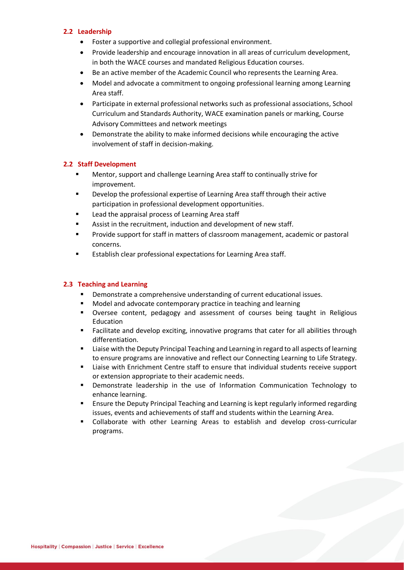# **2.2 Leadership**

- Foster a supportive and collegial professional environment.
- Provide leadership and encourage innovation in all areas of curriculum development, in both the WACE courses and mandated Religious Education courses.
- Be an active member of the Academic Council who represents the Learning Area.
- Model and advocate a commitment to ongoing professional learning among Learning Area staff.
- Participate in external professional networks such as professional associations, School Curriculum and Standards Authority, WACE examination panels or marking, Course Advisory Committees and network meetings
- Demonstrate the ability to make informed decisions while encouraging the active involvement of staff in decision-making.

# **2.2 Staff Development**

- Mentor, support and challenge Learning Area staff to continually strive for improvement.
- Develop the professional expertise of Learning Area staff through their active participation in professional development opportunities.
- Lead the appraisal process of Learning Area staff
- Assist in the recruitment, induction and development of new staff.
- Provide support for staff in matters of classroom management, academic or pastoral concerns.
- Establish clear professional expectations for Learning Area staff.

#### **2.3 Teaching and Learning**

- Demonstrate a comprehensive understanding of current educational issues.
- Model and advocate contemporary practice in teaching and learning
- Oversee content, pedagogy and assessment of courses being taught in Religious Education
- Facilitate and develop exciting, innovative programs that cater for all abilities through differentiation.
- Liaise with the Deputy Principal Teaching and Learning in regard to all aspects of learning to ensure programs are innovative and reflect our Connecting Learning to Life Strategy.
- Liaise with Enrichment Centre staff to ensure that individual students receive support or extension appropriate to their academic needs.
- Demonstrate leadership in the use of Information Communication Technology to enhance learning.
- **E** Ensure the Deputy Principal Teaching and Learning is kept regularly informed regarding issues, events and achievements of staff and students within the Learning Area.
- Collaborate with other Learning Areas to establish and develop cross-curricular programs.